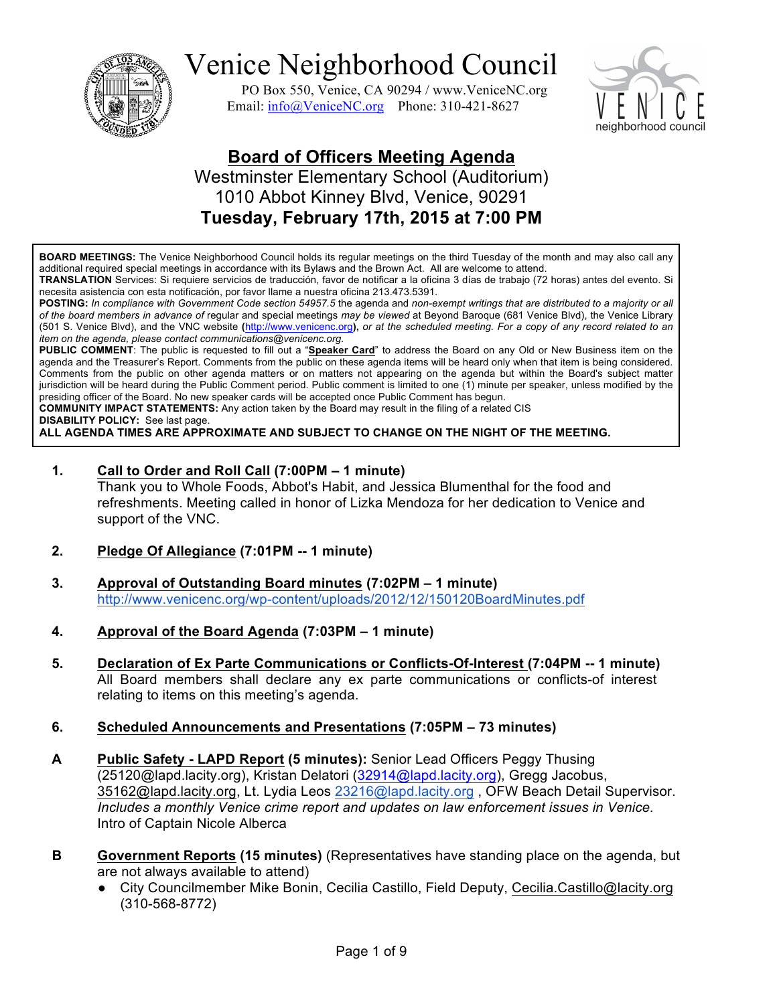

PO Box 550, Venice, CA 90294 / www.VeniceNC.org Email:  $info@V$ eniceNC.org Phone: 310-421-8627



### **Board of Officers Meeting Agenda** Westminster Elementary School (Auditorium) 1010 Abbot Kinney Blvd, Venice, 90291

**Tuesday, February 17th, 2015 at 7:00 PM**

**BOARD MEETINGS:** The Venice Neighborhood Council holds its regular meetings on the third Tuesday of the month and may also call any additional required special meetings in accordance with its Bylaws and the Brown Act. All are welcome to attend.

**TRANSLATION** Services: Si requiere servicios de traducción, favor de notificar a la oficina 3 días de trabajo (72 horas) antes del evento. Si necesita asistencia con esta notificación, por favor llame a nuestra oficina 213.473.5391.

**POSTING:** *In compliance with Government Code section 54957.5* the agenda and *non-exempt writings that are distributed to a majority or all of the board members in advance of* regular and special meetings *may be viewed* at Beyond Baroque (681 Venice Blvd), the Venice Library (501 S. Venice Blvd), and the VNC website **(**http://www.venicenc.org**),** *or at the scheduled meeting. For a copy of any record related to an item on the agenda, please contact communications@venicenc.org.*

**PUBLIC COMMENT**: The public is requested to fill out a "**Speaker Card**" to address the Board on any Old or New Business item on the agenda and the Treasurer's Report. Comments from the public on these agenda items will be heard only when that item is being considered. Comments from the public on other agenda matters or on matters not appearing on the agenda but within the Board's subject matter jurisdiction will be heard during the Public Comment period. Public comment is limited to one (1) minute per speaker, unless modified by the presiding officer of the Board. No new speaker cards will be accepted once Public Comment has begun.

**COMMUNITY IMPACT STATEMENTS:** Any action taken by the Board may result in the filing of a related CIS

**DISABILITY POLICY:** See last page.

**ALL AGENDA TIMES ARE APPROXIMATE AND SUBJECT TO CHANGE ON THE NIGHT OF THE MEETING.**

### **1. Call to Order and Roll Call (7:00PM – 1 minute)**

Thank you to Whole Foods, Abbot's Habit, and Jessica Blumenthal for the food and refreshments. Meeting called in honor of Lizka Mendoza for her dedication to Venice and support of the VNC.

- **2. Pledge Of Allegiance (7:01PM -- 1 minute)**
- **3. Approval of Outstanding Board minutes (7:02PM – 1 minute)** http://www.venicenc.org/wp-content/uploads/2012/12/150120BoardMinutes.pdf
- **4. Approval of the Board Agenda (7:03PM – 1 minute)**
- **5. Declaration of Ex Parte Communications or Conflicts-Of-Interest (7:04PM -- 1 minute)**  All Board members shall declare any ex parte communications or conflicts-of interest relating to items on this meeting's agenda.
- **6. Scheduled Announcements and Presentations (7:05PM – 73 minutes)**
- **A Public Safety - LAPD Report (5 minutes):** Senior Lead Officers Peggy Thusing (25120@lapd.lacity.org), Kristan Delatori (32914@lapd.lacity.org), Gregg Jacobus, 35162@lapd.lacity.org, Lt. Lydia Leos 23216@lapd.lacity.org , OFW Beach Detail Supervisor. *Includes a monthly Venice crime report and updates on law enforcement issues in Venice.* Intro of Captain Nicole Alberca
- **B Government Reports (15 minutes)** (Representatives have standing place on the agenda, but are not always available to attend)
	- City Councilmember Mike Bonin, Cecilia Castillo, Field Deputy, Cecilia.Castillo@lacity.org (310-568-8772)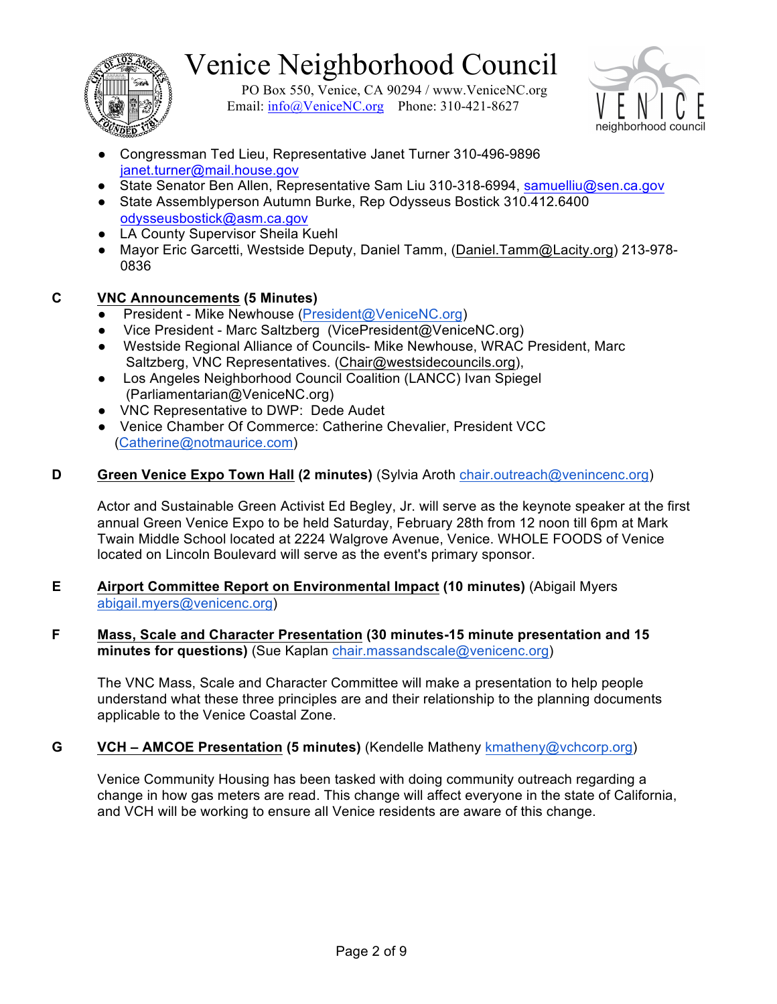

PO Box 550, Venice, CA 90294 / www.VeniceNC.org Email:  $info@V$ eniceNC.org Phone: 310-421-8627



- Congressman Ted Lieu, Representative Janet Turner 310-496-9896 janet.turner@mail.house.gov
- State Senator Ben Allen, Representative Sam Liu 310-318-6994, samuelliu@sen.ca.gov
- State Assemblyperson Autumn Burke, Rep Odysseus Bostick 310.412.6400 odysseusbostick@asm.ca.gov
- LA County Supervisor Sheila Kuehl
- Mayor Eric Garcetti, Westside Deputy, Daniel Tamm, (Daniel.Tamm@Lacity.org) 213-978-0836

### **C VNC Announcements (5 Minutes)**

- President Mike Newhouse (President@VeniceNC.org)
- Vice President Marc Saltzberg (VicePresident@VeniceNC.org)
- Westside Regional Alliance of Councils- Mike Newhouse, WRAC President, Marc Saltzberg, VNC Representatives. (Chair@westsidecouncils.org),
- Los Angeles Neighborhood Council Coalition (LANCC) Ivan Spiegel (Parliamentarian@VeniceNC.org)
- VNC Representative to DWP: Dede Audet
- Venice Chamber Of Commerce: Catherine Chevalier, President VCC (Catherine@notmaurice.com)

### **D Green Venice Expo Town Hall (2 minutes)** (Sylvia Aroth chair.outreach@venincenc.org)

Actor and Sustainable Green Activist Ed Begley, Jr. will serve as the keynote speaker at the first annual Green Venice Expo to be held Saturday, February 28th from 12 noon till 6pm at Mark Twain Middle School located at 2224 Walgrove Avenue, Venice. WHOLE FOODS of Venice located on Lincoln Boulevard will serve as the event's primary sponsor.

- **E Airport Committee Report on Environmental Impact (10 minutes)** (Abigail Myers abigail.myers@venicenc.org)
- **F Mass, Scale and Character Presentation (30 minutes-15 minute presentation and 15 minutes for questions)** (Sue Kaplan chair.massandscale@venicenc.org)

The VNC Mass, Scale and Character Committee will make a presentation to help people understand what these three principles are and their relationship to the planning documents applicable to the Venice Coastal Zone.

### **G VCH – AMCOE Presentation (5 minutes)** (Kendelle Matheny kmatheny@vchcorp.org)

Venice Community Housing has been tasked with doing community outreach regarding a change in how gas meters are read. This change will affect everyone in the state of California, and VCH will be working to ensure all Venice residents are aware of this change.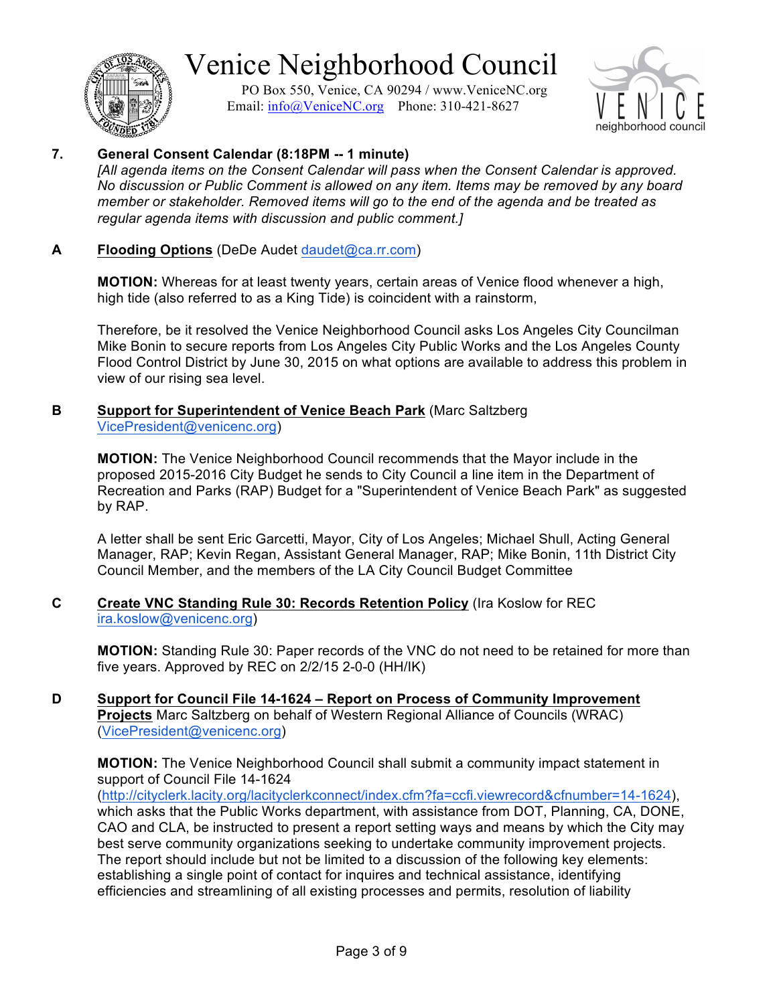

PO Box 550, Venice, CA 90294 / www.VeniceNC.org Email:  $info@V$ eniceNC.org Phone: 310-421-8627



### **7. General Consent Calendar (8:18PM -- 1 minute)**

*[All agenda items on the Consent Calendar will pass when the Consent Calendar is approved. No discussion or Public Comment is allowed on any item. Items may be removed by any board member or stakeholder. Removed items will go to the end of the agenda and be treated as regular agenda items with discussion and public comment.]*

### **A Flooding Options** (DeDe Audet daudet@ca.rr.com)

**MOTION:** Whereas for at least twenty years, certain areas of Venice flood whenever a high, high tide (also referred to as a King Tide) is coincident with a rainstorm,

Therefore, be it resolved the Venice Neighborhood Council asks Los Angeles City Councilman Mike Bonin to secure reports from Los Angeles City Public Works and the Los Angeles County Flood Control District by June 30, 2015 on what options are available to address this problem in view of our rising sea level.

#### **B Support for Superintendent of Venice Beach Park** (Marc Saltzberg VicePresident@venicenc.org)

**MOTION:** The Venice Neighborhood Council recommends that the Mayor include in the proposed 2015-2016 City Budget he sends to City Council a line item in the Department of Recreation and Parks (RAP) Budget for a "Superintendent of Venice Beach Park" as suggested by RAP.

A letter shall be sent Eric Garcetti, Mayor, City of Los Angeles; Michael Shull, Acting General Manager, RAP; Kevin Regan, Assistant General Manager, RAP; Mike Bonin, 11th District City Council Member, and the members of the LA City Council Budget Committee

#### **C Create VNC Standing Rule 30: Records Retention Policy** (Ira Koslow for REC ira.koslow@venicenc.org)

**MOTION:** Standing Rule 30: Paper records of the VNC do not need to be retained for more than five years. Approved by REC on 2/2/15 2-0-0 (HH/IK)

### **D Support for Council File 14-1624 – Report on Process of Community Improvement Projects** Marc Saltzberg on behalf of Western Regional Alliance of Councils (WRAC) (VicePresident@venicenc.org)

**MOTION:** The Venice Neighborhood Council shall submit a community impact statement in support of Council File 14-1624

(http://cityclerk.lacity.org/lacityclerkconnect/index.cfm?fa=ccfi.viewrecord&cfnumber=14-1624), which asks that the Public Works department, with assistance from DOT, Planning, CA, DONE, CAO and CLA, be instructed to present a report setting ways and means by which the City may best serve community organizations seeking to undertake community improvement projects. The report should include but not be limited to a discussion of the following key elements: establishing a single point of contact for inquires and technical assistance, identifying efficiencies and streamlining of all existing processes and permits, resolution of liability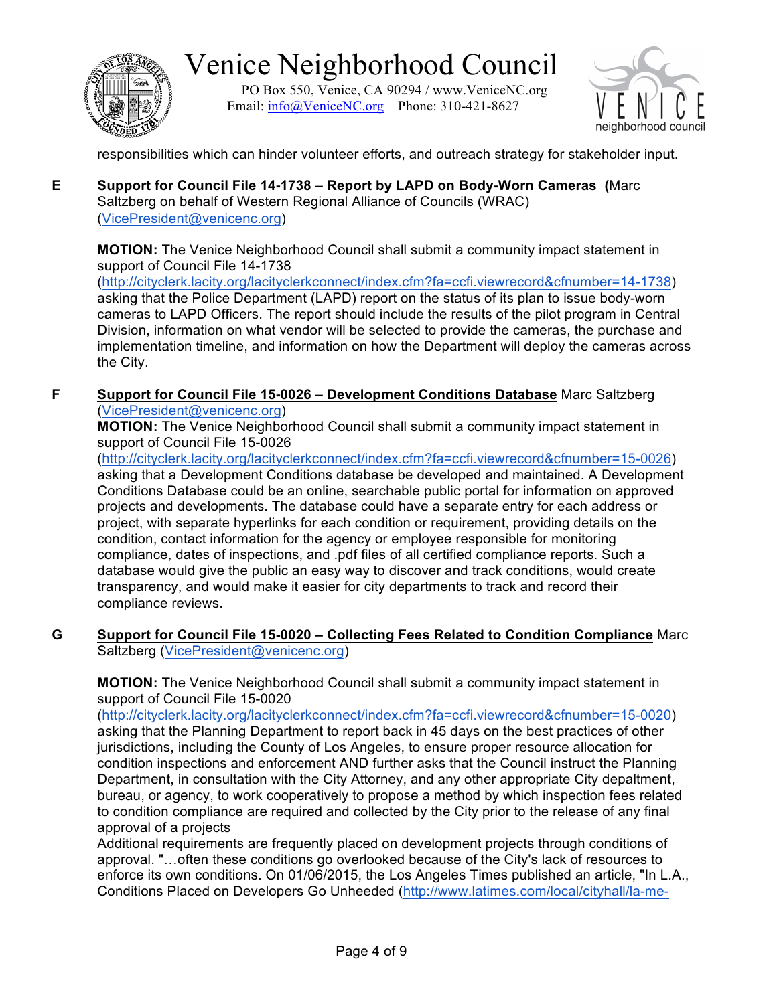

PO Box 550, Venice, CA 90294 / www.VeniceNC.org Email:  $info@V$ eniceNC.org Phone: 310-421-8627



responsibilities which can hinder volunteer efforts, and outreach strategy for stakeholder input.

**E Support for Council File 14-1738 – Report by LAPD on Body-Worn Cameras (**Marc Saltzberg on behalf of Western Regional Alliance of Councils (WRAC) (VicePresident@venicenc.org)

**MOTION:** The Venice Neighborhood Council shall submit a community impact statement in support of Council File 14-1738

(http://cityclerk.lacity.org/lacityclerkconnect/index.cfm?fa=ccfi.viewrecord&cfnumber=14-1738) asking that the Police Department (LAPD) report on the status of its plan to issue body-worn cameras to LAPD Officers. The report should include the results of the pilot program in Central Division, information on what vendor will be selected to provide the cameras, the purchase and implementation timeline, and information on how the Department will deploy the cameras across the City.

**F Support for Council File 15-0026 – Development Conditions Database** Marc Saltzberg (VicePresident@venicenc.org)

**MOTION:** The Venice Neighborhood Council shall submit a community impact statement in support of Council File 15-0026

(http://cityclerk.lacity.org/lacityclerkconnect/index.cfm?fa=ccfi.viewrecord&cfnumber=15-0026) asking that a Development Conditions database be developed and maintained. A Development Conditions Database could be an online, searchable public portal for information on approved projects and developments. The database could have a separate entry for each address or project, with separate hyperlinks for each condition or requirement, providing details on the condition, contact information for the agency or employee responsible for monitoring compliance, dates of inspections, and .pdf files of all certified compliance reports. Such a database would give the public an easy way to discover and track conditions, would create transparency, and would make it easier for city departments to track and record their compliance reviews.

**G Support for Council File 15-0020 – Collecting Fees Related to Condition Compliance** Marc Saltzberg (VicePresident@venicenc.org)

**MOTION:** The Venice Neighborhood Council shall submit a community impact statement in support of Council File 15-0020

(http://cityclerk.lacity.org/lacityclerkconnect/index.cfm?fa=ccfi.viewrecord&cfnumber=15-0020) asking that the Planning Department to report back in 45 days on the best practices of other jurisdictions, including the County of Los Angeles, to ensure proper resource allocation for condition inspections and enforcement AND further asks that the Council instruct the Planning Department, in consultation with the City Attorney, and any other appropriate City depaltment, bureau, or agency, to work cooperatively to propose a method by which inspection fees related to condition compliance are required and collected by the City prior to the release of any final approval of a projects

Additional requirements are frequently placed on development projects through conditions of approval. "…often these conditions go overlooked because of the City's lack of resources to enforce its own conditions. On 01/06/2015, the Los Angeles Times published an article, "In L.A., Conditions Placed on Developers Go Unheeded (http://www.latimes.com/local/cityhall/la-me-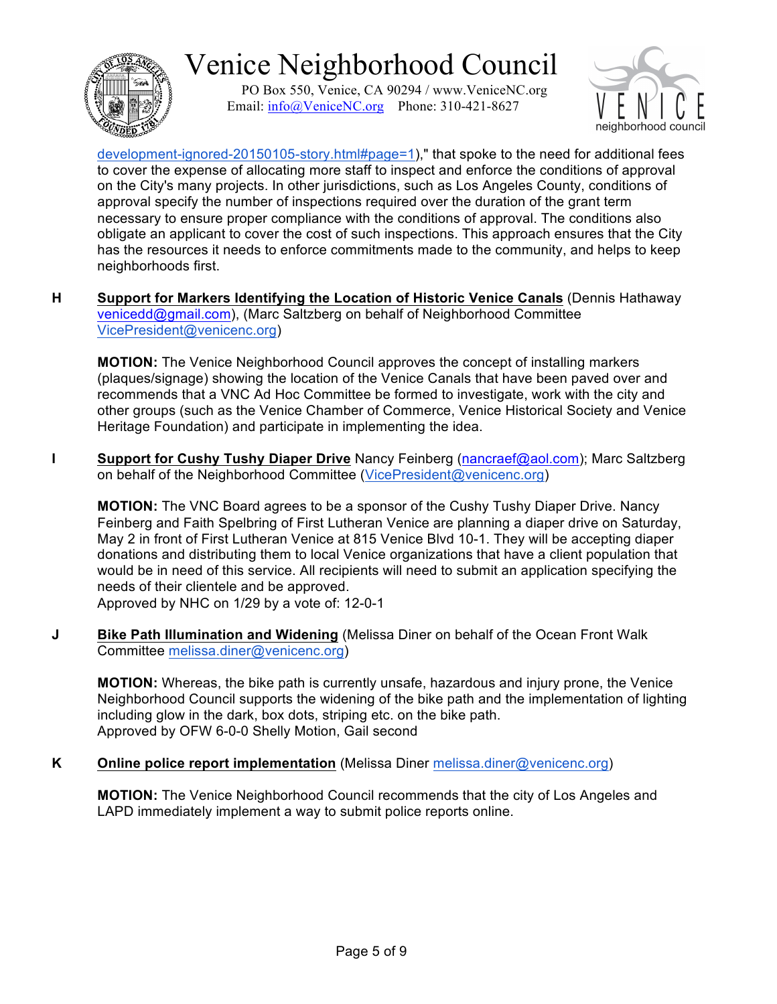

PO Box 550, Venice, CA 90294 / www.VeniceNC.org Email:  $info@V$ eniceNC.org Phone: 310-421-8627



development-ignored-20150105-story.html#page=1)," that spoke to the need for additional fees to cover the expense of allocating more staff to inspect and enforce the conditions of approval on the City's many projects. In other jurisdictions, such as Los Angeles County, conditions of approval specify the number of inspections required over the duration of the grant term necessary to ensure proper compliance with the conditions of approval. The conditions also obligate an applicant to cover the cost of such inspections. This approach ensures that the City has the resources it needs to enforce commitments made to the community, and helps to keep neighborhoods first.

**H Support for Markers Identifying the Location of Historic Venice Canals** (Dennis Hathaway venicedd@gmail.com), (Marc Saltzberg on behalf of Neighborhood Committee VicePresident@venicenc.org)

**MOTION:** The Venice Neighborhood Council approves the concept of installing markers (plaques/signage) showing the location of the Venice Canals that have been paved over and recommends that a VNC Ad Hoc Committee be formed to investigate, work with the city and other groups (such as the Venice Chamber of Commerce, Venice Historical Society and Venice Heritage Foundation) and participate in implementing the idea.

**I Support for Cushy Tushy Diaper Drive** Nancy Feinberg (nancraef@aol.com); Marc Saltzberg on behalf of the Neighborhood Committee (VicePresident@venicenc.org)

**MOTION:** The VNC Board agrees to be a sponsor of the Cushy Tushy Diaper Drive. Nancy Feinberg and Faith Spelbring of First Lutheran Venice are planning a diaper drive on Saturday, May 2 in front of First Lutheran Venice at 815 Venice Blvd 10-1. They will be accepting diaper donations and distributing them to local Venice organizations that have a client population that would be in need of this service. All recipients will need to submit an application specifying the needs of their clientele and be approved.

Approved by NHC on 1/29 by a vote of: 12-0-1

**J Bike Path Illumination and Widening** (Melissa Diner on behalf of the Ocean Front Walk Committee melissa.diner@venicenc.org)

**MOTION:** Whereas, the bike path is currently unsafe, hazardous and injury prone, the Venice Neighborhood Council supports the widening of the bike path and the implementation of lighting including glow in the dark, box dots, striping etc. on the bike path. Approved by OFW 6-0-0 Shelly Motion, Gail second

**K Online police report implementation** (Melissa Diner melissa.diner@venicenc.org)

**MOTION:** The Venice Neighborhood Council recommends that the city of Los Angeles and LAPD immediately implement a way to submit police reports online.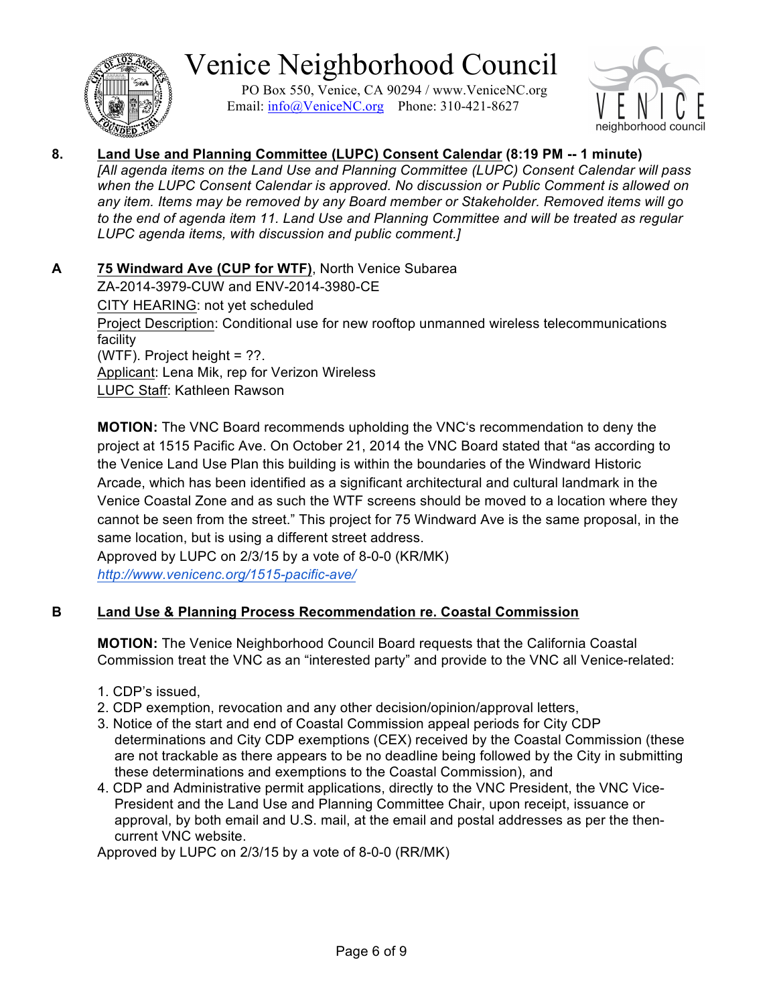

PO Box 550, Venice, CA 90294 / www.VeniceNC.org Email:  $info@V$ eniceNC.org Phone: 310-421-8627



#### **8. Land Use and Planning Committee (LUPC) Consent Calendar (8:19 PM -- 1 minute)** *[All agenda items on the Land Use and Planning Committee (LUPC) Consent Calendar will pass when the LUPC Consent Calendar is approved. No discussion or Public Comment is allowed on any item. Items may be removed by any Board member or Stakeholder. Removed items will go to the end of agenda item 11. Land Use and Planning Committee and will be treated as regular LUPC agenda items, with discussion and public comment.]*

**A 75 Windward Ave (CUP for WTF)**, North Venice Subarea ZA-2014-3979-CUW and ENV-2014-3980-CE CITY HEARING: not yet scheduled Project Description: Conditional use for new rooftop unmanned wireless telecommunications facility (WTF). Project height = ??. Applicant: Lena Mik, rep for Verizon Wireless LUPC Staff: Kathleen Rawson

**MOTION:** The VNC Board recommends upholding the VNC's recommendation to deny the project at 1515 Pacific Ave. On October 21, 2014 the VNC Board stated that "as according to the Venice Land Use Plan this building is within the boundaries of the Windward Historic Arcade, which has been identified as a significant architectural and cultural landmark in the Venice Coastal Zone and as such the WTF screens should be moved to a location where they cannot be seen from the street." This project for 75 Windward Ave is the same proposal, in the same location, but is using a different street address.

Approved by LUPC on 2/3/15 by a vote of 8-0-0 (KR/MK) *http://www.venicenc.org/1515-pacific-ave/*

### **B Land Use & Planning Process Recommendation re. Coastal Commission**

**MOTION:** The Venice Neighborhood Council Board requests that the California Coastal Commission treat the VNC as an "interested party" and provide to the VNC all Venice-related:

- 1. CDP's issued,
- 2. CDP exemption, revocation and any other decision/opinion/approval letters,
- 3. Notice of the start and end of Coastal Commission appeal periods for City CDP determinations and City CDP exemptions (CEX) received by the Coastal Commission (these are not trackable as there appears to be no deadline being followed by the City in submitting these determinations and exemptions to the Coastal Commission), and
- 4. CDP and Administrative permit applications, directly to the VNC President, the VNC Vice-President and the Land Use and Planning Committee Chair, upon receipt, issuance or approval, by both email and U.S. mail, at the email and postal addresses as per the thencurrent VNC website.

Approved by LUPC on 2/3/15 by a vote of 8-0-0 (RR/MK)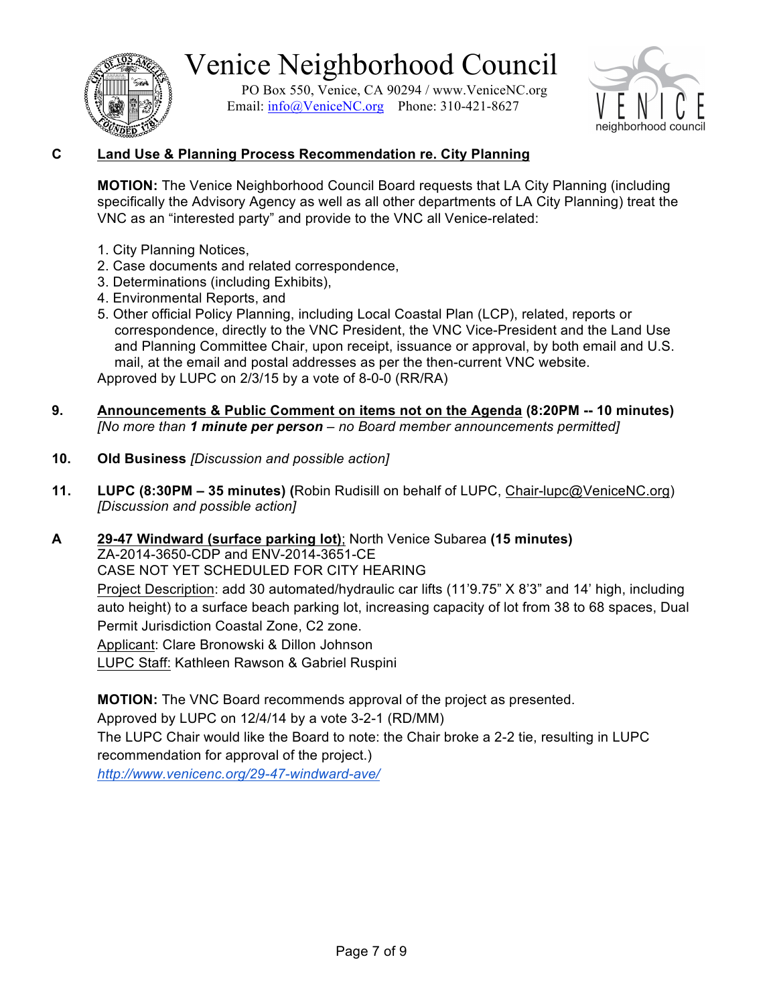

PO Box 550, Venice, CA 90294 / www.VeniceNC.org Email:  $info@V$ eniceNC.org Phone: 310-421-8627



### **C Land Use & Planning Process Recommendation re. City Planning**

**MOTION:** The Venice Neighborhood Council Board requests that LA City Planning (including specifically the Advisory Agency as well as all other departments of LA City Planning) treat the VNC as an "interested party" and provide to the VNC all Venice-related:

- 1. City Planning Notices,
- 2. Case documents and related correspondence,
- 3. Determinations (including Exhibits),
- 4. Environmental Reports, and
- 5. Other official Policy Planning, including Local Coastal Plan (LCP), related, reports or correspondence, directly to the VNC President, the VNC Vice-President and the Land Use and Planning Committee Chair, upon receipt, issuance or approval, by both email and U.S. mail, at the email and postal addresses as per the then-current VNC website. Approved by LUPC on 2/3/15 by a vote of 8-0-0 (RR/RA)
- **9. Announcements & Public Comment on items not on the Agenda (8:20PM -- 10 minutes)** *[No more than 1 minute per person – no Board member announcements permitted]*
- **10. Old Business** *[Discussion and possible action]*
- **11. LUPC (8:30PM – 35 minutes) (**Robin Rudisill on behalf of LUPC, Chair-lupc@VeniceNC.org) *[Discussion and possible action]*
- **A 29-47 Windward (surface parking lot)**; North Venice Subarea **(15 minutes)** ZA-2014-3650-CDP and ENV-2014-3651-CE CASE NOT YET SCHEDULED FOR CITY HEARING Project Description: add 30 automated/hydraulic car lifts (11'9.75" X 8'3" and 14' high, including auto height) to a surface beach parking lot, increasing capacity of lot from 38 to 68 spaces, Dual Permit Jurisdiction Coastal Zone, C2 zone. Applicant: Clare Bronowski & Dillon Johnson

LUPC Staff: Kathleen Rawson & Gabriel Ruspini

**MOTION:** The VNC Board recommends approval of the project as presented.

Approved by LUPC on 12/4/14 by a vote 3-2-1 (RD/MM)

The LUPC Chair would like the Board to note: the Chair broke a 2-2 tie, resulting in LUPC recommendation for approval of the project.)

*http://www.venicenc.org/29-47-windward-ave/*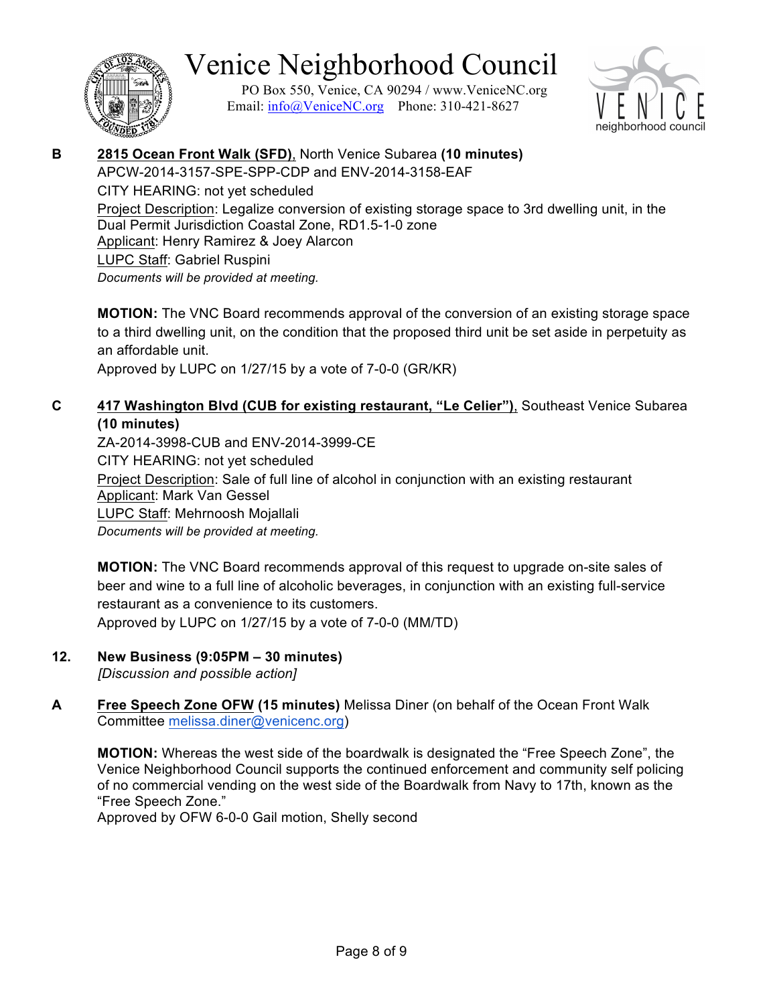

PO Box 550, Venice, CA 90294 / www.VeniceNC.org Email:  $info@V$ eniceNC.org Phone: 310-421-8627



### **B 2815 Ocean Front Walk (SFD)**, North Venice Subarea **(10 minutes)** APCW-2014-3157-SPE-SPP-CDP and ENV-2014-3158-EAF

CITY HEARING: not yet scheduled Project Description: Legalize conversion of existing storage space to 3rd dwelling unit, in the Dual Permit Jurisdiction Coastal Zone, RD1.5-1-0 zone Applicant: Henry Ramirez & Joey Alarcon LUPC Staff: Gabriel Ruspini *Documents will be provided at meeting.*

**MOTION:** The VNC Board recommends approval of the conversion of an existing storage space to a third dwelling unit, on the condition that the proposed third unit be set aside in perpetuity as an affordable unit.

Approved by LUPC on 1/27/15 by a vote of 7-0-0 (GR/KR)

### **C 417 Washington Blvd (CUB for existing restaurant, "Le Celier")**, Southeast Venice Subarea **(10 minutes)**

ZA-2014-3998-CUB and ENV-2014-3999-CE CITY HEARING: not yet scheduled Project Description: Sale of full line of alcohol in conjunction with an existing restaurant Applicant: Mark Van Gessel LUPC Staff: Mehrnoosh Mojallali *Documents will be provided at meeting.*

**MOTION:** The VNC Board recommends approval of this request to upgrade on-site sales of beer and wine to a full line of alcoholic beverages, in conjunction with an existing full-service restaurant as a convenience to its customers. Approved by LUPC on 1/27/15 by a vote of 7-0-0 (MM/TD)

### **12. New Business (9:05PM – 30 minutes)**

*[Discussion and possible action]*

**A Free Speech Zone OFW (15 minutes)** Melissa Diner (on behalf of the Ocean Front Walk Committee melissa.diner@venicenc.org)

**MOTION:** Whereas the west side of the boardwalk is designated the "Free Speech Zone", the Venice Neighborhood Council supports the continued enforcement and community self policing of no commercial vending on the west side of the Boardwalk from Navy to 17th, known as the "Free Speech Zone."

Approved by OFW 6-0-0 Gail motion, Shelly second